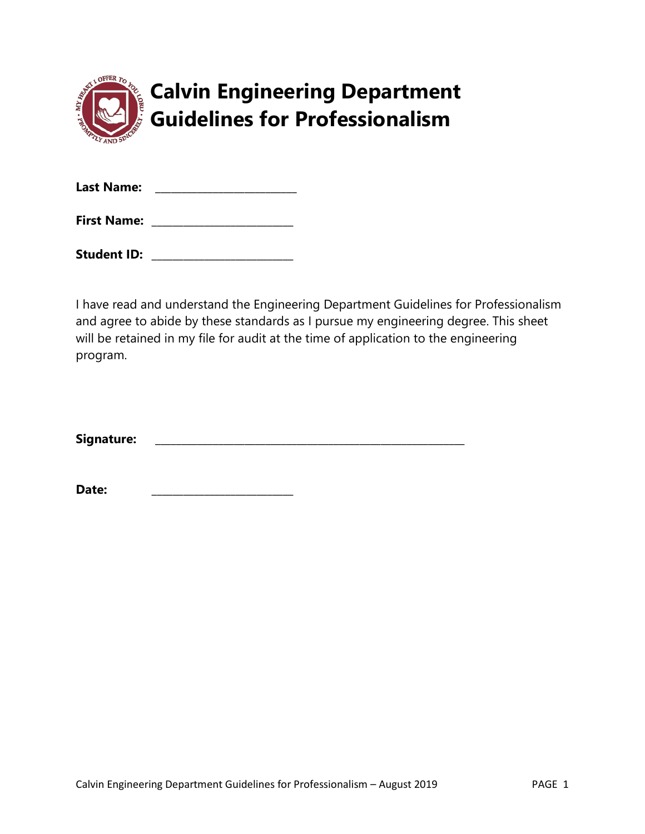|  | <b>Calvin Engineering Department</b><br>Guidelines for Professionalism |
|--|------------------------------------------------------------------------|

| <b>Last Name:</b>  |  |
|--------------------|--|
| <b>First Name:</b> |  |

Student ID: **with a student in the student in the student in the student in the student in the student in the studies of the studies of the studies of the studies of the studies of the studies of the studies of the studies** 

I have read and understand the Engineering Department Guidelines for Professionalism and agree to abide by these standards as I pursue my engineering degree. This sheet will be retained in my file for audit at the time of application to the engineering program.

**Signature: \_\_\_\_\_\_\_\_\_\_\_\_\_\_\_\_\_\_\_\_\_\_\_\_\_\_\_\_\_\_\_\_\_\_\_\_\_\_\_\_\_\_\_\_\_\_\_\_\_\_\_\_\_\_\_\_\_\_\_**

**Date: \_\_\_\_\_\_\_\_\_\_\_\_\_\_\_\_\_\_\_\_\_\_\_\_\_\_\_**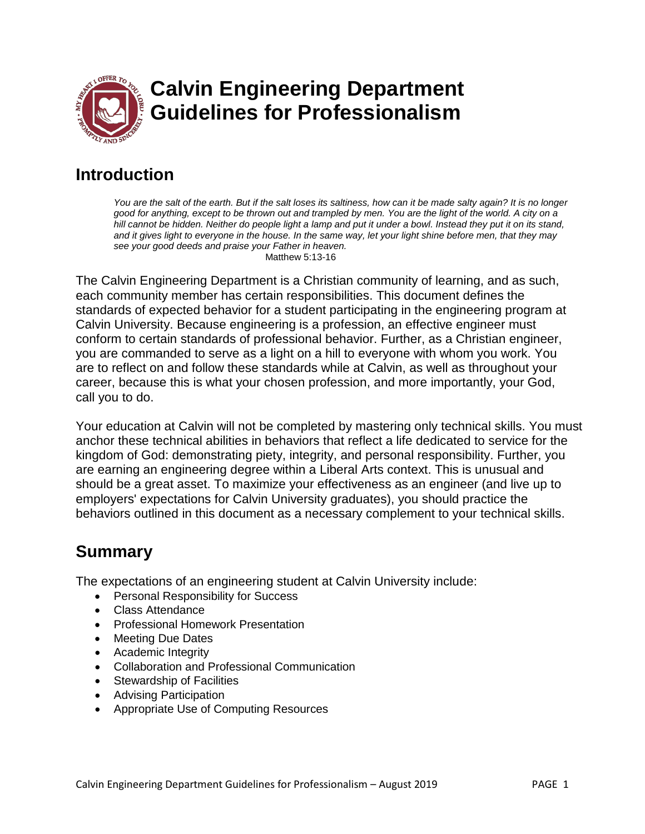

# **Introduction**

*You are the salt of the earth. But if the salt loses its saltiness, how can it be made salty again? It is no longer good for anything, except to be thrown out and trampled by men. You are the light of the world. A city on a*  hill cannot be hidden. Neither do people light a lamp and put it under a bowl. Instead they put it on its stand, *and it gives light to everyone in the house. In the same way, let your light shine before men, that they may see your good deeds and praise your Father in heaven.* 

Matthew 5:13-16

The Calvin Engineering Department is a Christian community of learning, and as such, each community member has certain responsibilities. This document defines the standards of expected behavior for a student participating in the engineering program at Calvin University. Because engineering is a profession, an effective engineer must conform to certain standards of professional behavior. Further, as a Christian engineer, you are commanded to serve as a light on a hill to everyone with whom you work. You are to reflect on and follow these standards while at Calvin, as well as throughout your career, because this is what your chosen profession, and more importantly, your God, call you to do.

Your education at Calvin will not be completed by mastering only technical skills. You must anchor these technical abilities in behaviors that reflect a life dedicated to service for the kingdom of God: demonstrating piety, integrity, and personal responsibility. Further, you are earning an engineering degree within a Liberal Arts context. This is unusual and should be a great asset. To maximize your effectiveness as an engineer (and live up to employers' expectations for Calvin University graduates), you should practice the behaviors outlined in this document as a necessary complement to your technical skills.

# **Summary**

The expectations of an engineering student at Calvin University include:

- Personal Responsibility for Success
- Class Attendance
- Professional Homework Presentation
- Meeting Due Dates
- Academic Integrity
- Collaboration and Professional Communication
- Stewardship of Facilities
- Advising Participation
- Appropriate Use of Computing Resources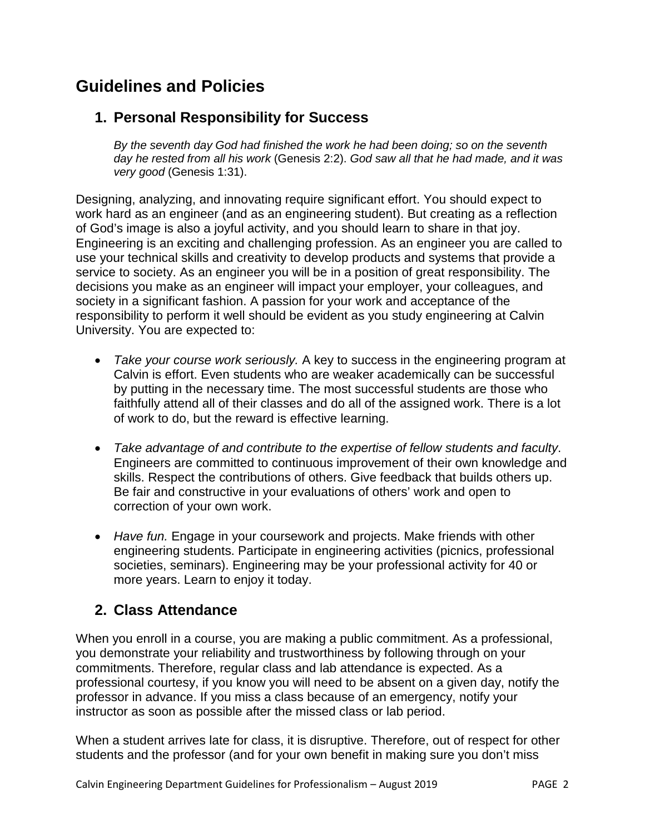# **Guidelines and Policies**

## **1. Personal Responsibility for Success**

*By the seventh day God had finished the work he had been doing; so on the seventh day he rested from all his work* (Genesis 2:2). *God saw all that he had made, and it was very good* (Genesis 1:31).

Designing, analyzing, and innovating require significant effort. You should expect to work hard as an engineer (and as an engineering student). But creating as a reflection of God's image is also a joyful activity, and you should learn to share in that joy. Engineering is an exciting and challenging profession. As an engineer you are called to use your technical skills and creativity to develop products and systems that provide a service to society. As an engineer you will be in a position of great responsibility. The decisions you make as an engineer will impact your employer, your colleagues, and society in a significant fashion. A passion for your work and acceptance of the responsibility to perform it well should be evident as you study engineering at Calvin University. You are expected to:

- *Take your course work seriously.* A key to success in the engineering program at Calvin is effort. Even students who are weaker academically can be successful by putting in the necessary time. The most successful students are those who faithfully attend all of their classes and do all of the assigned work. There is a lot of work to do, but the reward is effective learning.
- *Take advantage of and contribute to the expertise of fellow students and faculty*. Engineers are committed to continuous improvement of their own knowledge and skills. Respect the contributions of others. Give feedback that builds others up. Be fair and constructive in your evaluations of others' work and open to correction of your own work.
- Have fun. Engage in your coursework and projects. Make friends with other engineering students. Participate in engineering activities (picnics, professional societies, seminars). Engineering may be your professional activity for 40 or more years. Learn to enjoy it today.

### **2. Class Attendance**

When you enroll in a course, you are making a public commitment. As a professional, you demonstrate your reliability and trustworthiness by following through on your commitments. Therefore, regular class and lab attendance is expected. As a professional courtesy, if you know you will need to be absent on a given day, notify the professor in advance. If you miss a class because of an emergency, notify your instructor as soon as possible after the missed class or lab period.

When a student arrives late for class, it is disruptive. Therefore, out of respect for other students and the professor (and for your own benefit in making sure you don't miss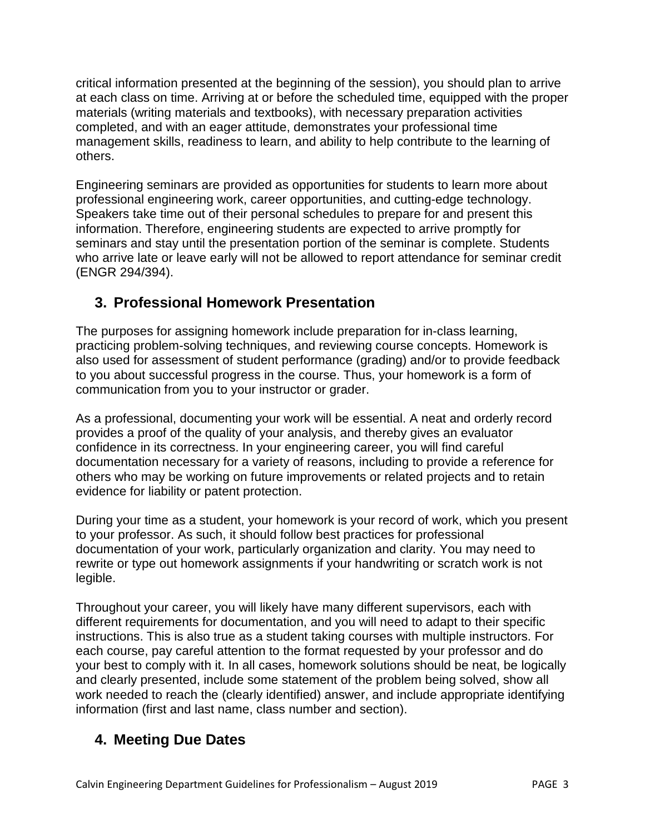critical information presented at the beginning of the session), you should plan to arrive at each class on time. Arriving at or before the scheduled time, equipped with the proper materials (writing materials and textbooks), with necessary preparation activities completed, and with an eager attitude, demonstrates your professional time management skills, readiness to learn, and ability to help contribute to the learning of others.

Engineering seminars are provided as opportunities for students to learn more about professional engineering work, career opportunities, and cutting-edge technology. Speakers take time out of their personal schedules to prepare for and present this information. Therefore, engineering students are expected to arrive promptly for seminars and stay until the presentation portion of the seminar is complete. Students who arrive late or leave early will not be allowed to report attendance for seminar credit (ENGR 294/394).

# **3. Professional Homework Presentation**

The purposes for assigning homework include preparation for in-class learning, practicing problem-solving techniques, and reviewing course concepts. Homework is also used for assessment of student performance (grading) and/or to provide feedback to you about successful progress in the course. Thus, your homework is a form of communication from you to your instructor or grader.

As a professional, documenting your work will be essential. A neat and orderly record provides a proof of the quality of your analysis, and thereby gives an evaluator confidence in its correctness. In your engineering career, you will find careful documentation necessary for a variety of reasons, including to provide a reference for others who may be working on future improvements or related projects and to retain evidence for liability or patent protection.

During your time as a student, your homework is your record of work, which you present to your professor. As such, it should follow best practices for professional documentation of your work, particularly organization and clarity. You may need to rewrite or type out homework assignments if your handwriting or scratch work is not legible.

Throughout your career, you will likely have many different supervisors, each with different requirements for documentation, and you will need to adapt to their specific instructions. This is also true as a student taking courses with multiple instructors. For each course, pay careful attention to the format requested by your professor and do your best to comply with it. In all cases, homework solutions should be neat, be logically and clearly presented, include some statement of the problem being solved, show all work needed to reach the (clearly identified) answer, and include appropriate identifying information (first and last name, class number and section).

# **4. Meeting Due Dates**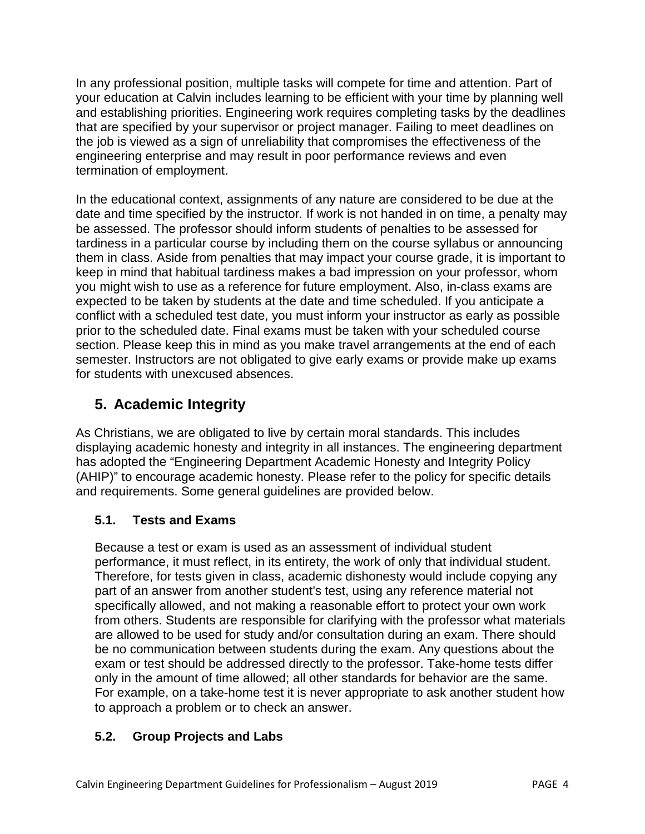In any professional position, multiple tasks will compete for time and attention. Part of your education at Calvin includes learning to be efficient with your time by planning well and establishing priorities. Engineering work requires completing tasks by the deadlines that are specified by your supervisor or project manager. Failing to meet deadlines on the job is viewed as a sign of unreliability that compromises the effectiveness of the engineering enterprise and may result in poor performance reviews and even termination of employment.

In the educational context, assignments of any nature are considered to be due at the date and time specified by the instructor*.* If work is not handed in on time, a penalty may be assessed. The professor should inform students of penalties to be assessed for tardiness in a particular course by including them on the course syllabus or announcing them in class. Aside from penalties that may impact your course grade, it is important to keep in mind that habitual tardiness makes a bad impression on your professor, whom you might wish to use as a reference for future employment. Also, in-class exams are expected to be taken by students at the date and time scheduled. If you anticipate a conflict with a scheduled test date, you must inform your instructor as early as possible prior to the scheduled date. Final exams must be taken with your scheduled course section. Please keep this in mind as you make travel arrangements at the end of each semester. Instructors are not obligated to give early exams or provide make up exams for students with unexcused absences.

# **5. Academic Integrity**

As Christians, we are obligated to live by certain moral standards. This includes displaying academic honesty and integrity in all instances. The engineering department has adopted the "Engineering Department Academic Honesty and Integrity Policy (AHIP)" to encourage academic honesty. Please refer to the policy for specific details and requirements. Some general guidelines are provided below.

#### **5.1. Tests and Exams**

Because a test or exam is used as an assessment of individual student performance, it must reflect, in its entirety, the work of only that individual student. Therefore, for tests given in class, academic dishonesty would include copying any part of an answer from another student's test, using any reference material not specifically allowed, and not making a reasonable effort to protect your own work from others. Students are responsible for clarifying with the professor what materials are allowed to be used for study and/or consultation during an exam. There should be no communication between students during the exam. Any questions about the exam or test should be addressed directly to the professor. Take-home tests differ only in the amount of time allowed; all other standards for behavior are the same. For example, on a take-home test it is never appropriate to ask another student how to approach a problem or to check an answer.

#### **5.2. Group Projects and Labs**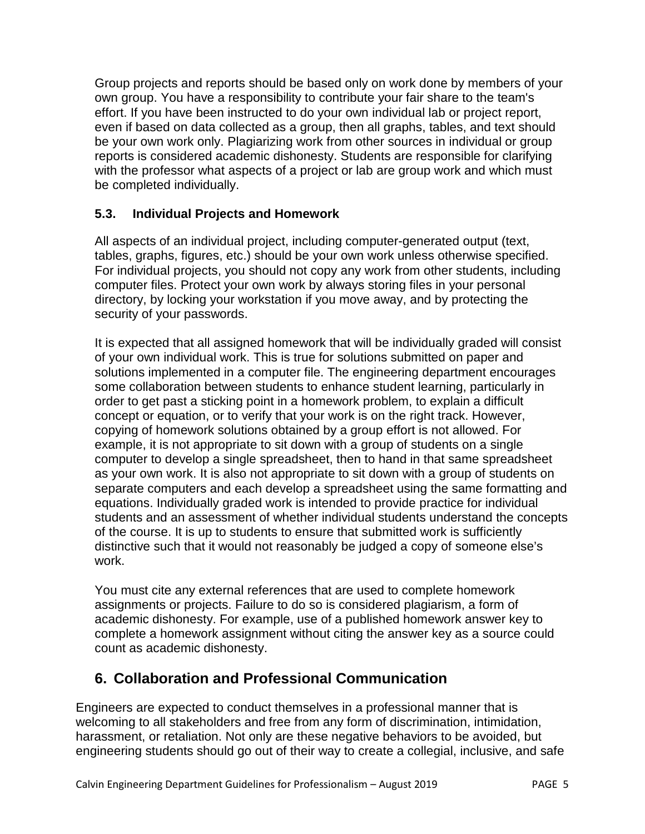Group projects and reports should be based only on work done by members of your own group. You have a responsibility to contribute your fair share to the team's effort. If you have been instructed to do your own individual lab or project report, even if based on data collected as a group, then all graphs, tables, and text should be your own work only. Plagiarizing work from other sources in individual or group reports is considered academic dishonesty. Students are responsible for clarifying with the professor what aspects of a project or lab are group work and which must be completed individually.

#### **5.3. Individual Projects and Homework**

All aspects of an individual project, including computer-generated output (text, tables, graphs, figures, etc.) should be your own work unless otherwise specified. For individual projects, you should not copy any work from other students, including computer files. Protect your own work by always storing files in your personal directory, by locking your workstation if you move away, and by protecting the security of your passwords.

It is expected that all assigned homework that will be individually graded will consist of your own individual work. This is true for solutions submitted on paper and solutions implemented in a computer file. The engineering department encourages some collaboration between students to enhance student learning, particularly in order to get past a sticking point in a homework problem, to explain a difficult concept or equation, or to verify that your work is on the right track. However, copying of homework solutions obtained by a group effort is not allowed. For example, it is not appropriate to sit down with a group of students on a single computer to develop a single spreadsheet, then to hand in that same spreadsheet as your own work. It is also not appropriate to sit down with a group of students on separate computers and each develop a spreadsheet using the same formatting and equations. Individually graded work is intended to provide practice for individual students and an assessment of whether individual students understand the concepts of the course. It is up to students to ensure that submitted work is sufficiently distinctive such that it would not reasonably be judged a copy of someone else's work.

You must cite any external references that are used to complete homework assignments or projects. Failure to do so is considered plagiarism, a form of academic dishonesty. For example, use of a published homework answer key to complete a homework assignment without citing the answer key as a source could count as academic dishonesty.

## **6. Collaboration and Professional Communication**

Engineers are expected to conduct themselves in a professional manner that is welcoming to all stakeholders and free from any form of discrimination, intimidation, harassment, or retaliation. Not only are these negative behaviors to be avoided, but engineering students should go out of their way to create a collegial, inclusive, and safe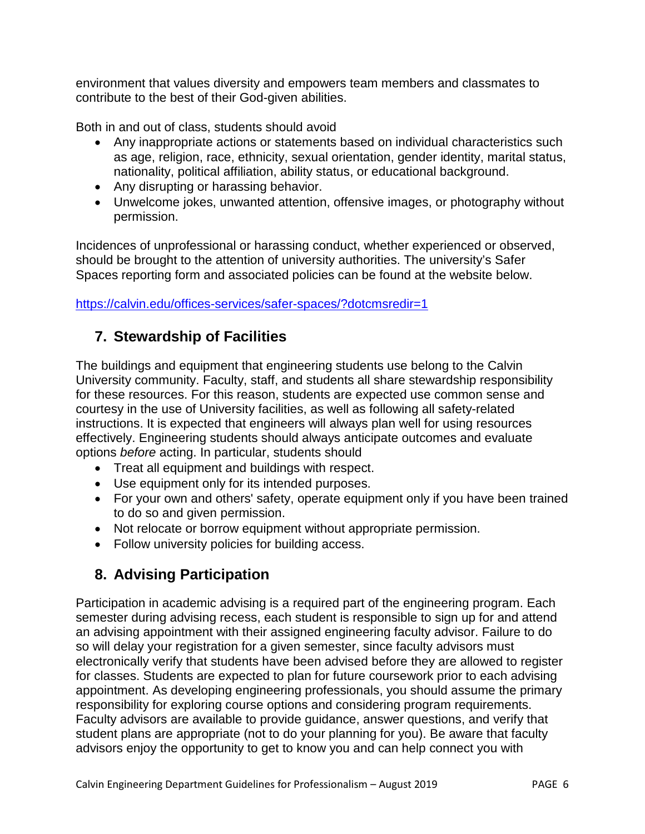environment that values diversity and empowers team members and classmates to contribute to the best of their God-given abilities.

Both in and out of class, students should avoid

- Any inappropriate actions or statements based on individual characteristics such as age, religion, race, ethnicity, sexual orientation, gender identity, marital status, nationality, political affiliation, ability status, or educational background.
- Any disrupting or harassing behavior.
- Unwelcome jokes, unwanted attention, offensive images, or photography without permission.

Incidences of unprofessional or harassing conduct, whether experienced or observed, should be brought to the attention of university authorities. The university's Safer Spaces reporting form and associated policies can be found at the website below.

<https://calvin.edu/offices-services/safer-spaces/?dotcmsredir=1>

## **7. Stewardship of Facilities**

The buildings and equipment that engineering students use belong to the Calvin University community. Faculty, staff, and students all share stewardship responsibility for these resources. For this reason, students are expected use common sense and courtesy in the use of University facilities, as well as following all safety-related instructions. It is expected that engineers will always plan well for using resources effectively. Engineering students should always anticipate outcomes and evaluate options *before* acting. In particular, students should

- Treat all equipment and buildings with respect.
- Use equipment only for its intended purposes.
- For your own and others' safety, operate equipment only if you have been trained to do so and given permission.
- Not relocate or borrow equipment without appropriate permission.
- Follow university policies for building access.

## **8. Advising Participation**

Participation in academic advising is a required part of the engineering program. Each semester during advising recess, each student is responsible to sign up for and attend an advising appointment with their assigned engineering faculty advisor. Failure to do so will delay your registration for a given semester, since faculty advisors must electronically verify that students have been advised before they are allowed to register for classes. Students are expected to plan for future coursework prior to each advising appointment. As developing engineering professionals, you should assume the primary responsibility for exploring course options and considering program requirements. Faculty advisors are available to provide guidance, answer questions, and verify that student plans are appropriate (not to do your planning for you). Be aware that faculty advisors enjoy the opportunity to get to know you and can help connect you with